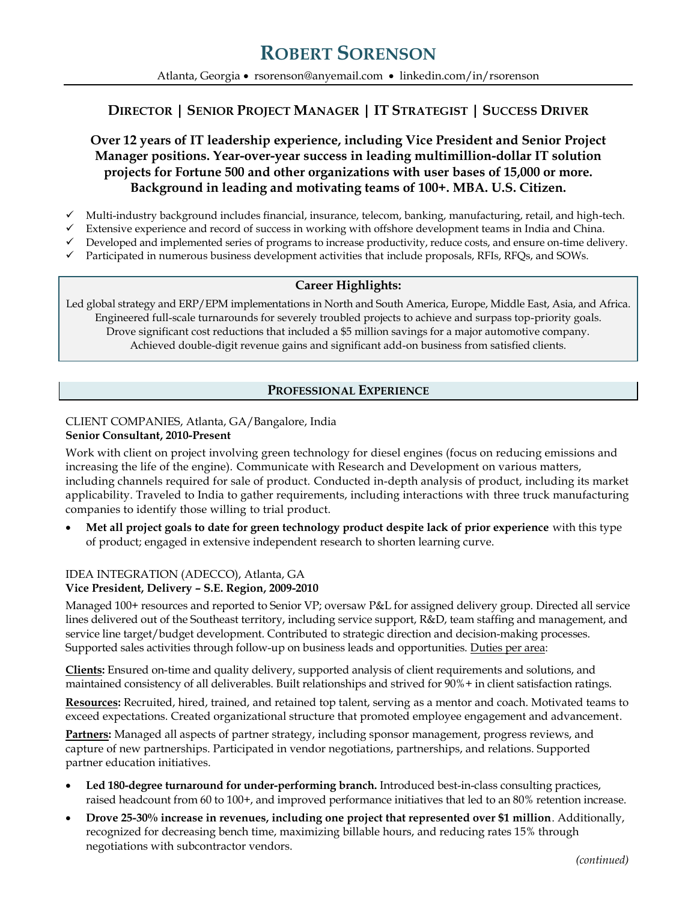# **ROBERT SORENSON**

Atlanta, Georgia • [rsorenson@anyemail.com](mailto:rsorenson@anyemail.com) • [linkedin.com/in/rsorenson](http://www.linkedin.com/in/ravisomasundaram)

## **DIRECTOR | SENIOR PROJECT MANAGER | IT STRATEGIST | SUCCESS DRIVER**

**Over 12 years of IT leadership experience, including Vice President and Senior Project Manager positions. Year-over-year success in leading multimillion-dollar IT solution projects for Fortune 500 and other organizations with user bases of 15,000 or more. Background in leading and motivating teams of 100+. MBA. U.S. Citizen.** 

- $\checkmark$  Multi-industry background includes financial, insurance, telecom, banking, manufacturing, retail, and high-tech.
- Extensive experience and record of success in working with offshore development teams in India and China.
- Developed and implemented series of programs to increase productivity, reduce costs, and ensure on-time delivery.
- Participated in numerous business development activities that include proposals, RFIs, RFQs, and SOWs.

#### **Career Highlights:**

Led global strategy and ERP/EPM implementations in North and South America, Europe, Middle East, Asia, and Africa. Engineered full-scale turnarounds for severely troubled projects to achieve and surpass top-priority goals. Drove significant cost reductions that included a \$5 million savings for a major automotive company. Achieved double-digit revenue gains and significant add-on business from satisfied clients.

### **PROFESSIONAL EXPERIENCE**

#### CLIENT COMPANIES, Atlanta, GA/Bangalore, India **Senior Consultant, 2010-Present**

Work with client on project involving green technology for diesel engines (focus on reducing emissions and increasing the life of the engine). Communicate with Research and Development on various matters, including channels required for sale of product. Conducted in-depth analysis of product, including its market applicability. Traveled to India to gather requirements, including interactions with three truck manufacturing companies to identify those willing to trial product.

 **Met all project goals to date for green technology product despite lack of prior experience** with this type of product; engaged in extensive independent research to shorten learning curve.

#### IDEA INTEGRATION (ADECCO), Atlanta, GA **Vice President, Delivery – S.E. Region, 2009-2010**

Managed 100+ resources and reported to Senior VP; oversaw P&L for assigned delivery group. Directed all service lines delivered out of the Southeast territory, including service support, R&D, team staffing and management, and service line target/budget development. Contributed to strategic direction and decision-making processes. Supported sales activities through follow-up on business leads and opportunities. Duties per area:

**Clients:** Ensured on-time and quality delivery, supported analysis of client requirements and solutions, and maintained consistency of all deliverables. Built relationships and strived for 90%+ in client satisfaction ratings.

**Resources:** Recruited, hired, trained, and retained top talent, serving as a mentor and coach. Motivated teams to exceed expectations. Created organizational structure that promoted employee engagement and advancement.

**Partners:** Managed all aspects of partner strategy, including sponsor management, progress reviews, and capture of new partnerships. Participated in vendor negotiations, partnerships, and relations. Supported partner education initiatives.

- **Led 180-degree turnaround for under-performing branch.** Introduced best-in-class consulting practices, raised headcount from 60 to 100+, and improved performance initiatives that led to an 80% retention increase.
- **Drove 25-30% increase in revenues, including one project that represented over \$1 million**. Additionally, recognized for decreasing bench time, maximizing billable hours, and reducing rates 15% through negotiations with subcontractor vendors.

 *(continued)*